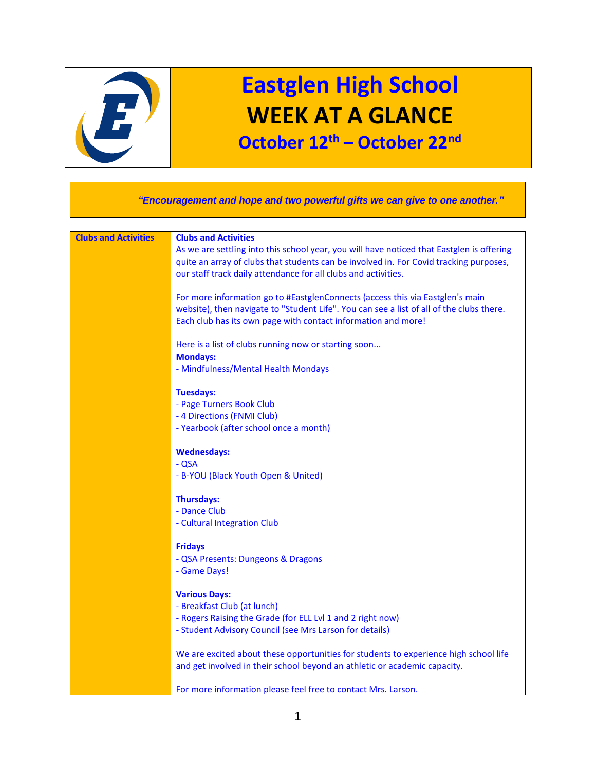

## **Eastglen High School WEEK AT A GLANCE October 12th – October 22nd**

 *"Encouragement and hope and two powerful gifts we can give to one another."* **Clubs and Activities Clubs and Activities** As we are settling into this school year, you will have noticed that Eastglen is offering quite an array of clubs that students can be involved in. For Covid tracking purposes, our staff track daily attendance for all clubs and activities. For more information go to #EastglenConnects (access this via Eastglen's main website), then navigate to "Student Life". You can see a list of all of the clubs there. Each club has its own page with contact information and more! Here is a list of clubs running now or starting soon... **Mondays:** - Mindfulness/Mental Health Mondays **Tuesdays:** - Page Turners Book Club - 4 Directions (FNMI Club) - Yearbook (after school once a month) **Wednesdays:** - QSA - B-YOU (Black Youth Open & United) **Thursdays:** - Dance Club - Cultural Integration Club **Fridays** - QSA Presents: Dungeons & Dragons - Game Days! **Various Days:** - Breakfast Club (at lunch) - Rogers Raising the Grade (for ELL Lvl 1 and 2 right now) - Student Advisory Council (see Mrs Larson for details) We are excited about these opportunities for students to experience high school life and get involved in their school beyond an athletic or academic capacity. For more information please feel free to contact Mrs. Larson.